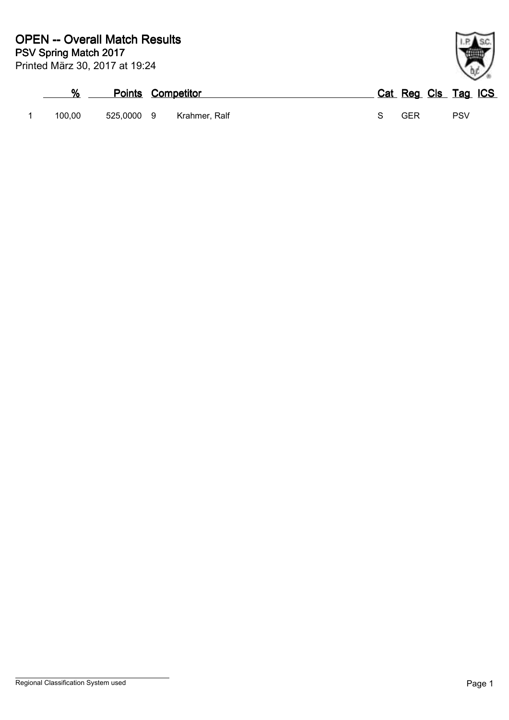| %      |            | <b>Points Competitor</b> |               |  | Cat Reg Cls Tag ICS |     |  |
|--------|------------|--------------------------|---------------|--|---------------------|-----|--|
| 100.00 | 525.0000 9 |                          | Krahmer. Ralf |  | GFR                 | PSV |  |

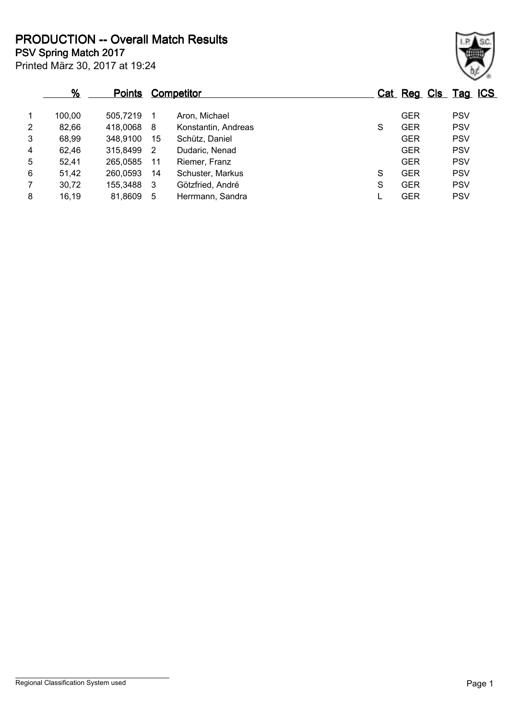**PSV Spring Match 2017 PRODUCTION -- Overall Match Results**

Printed März 30, 2017 at 19:24

|                | %      | <b>Points</b> | Competitor |                     |   | Cat Reg Cls Tag ICS |            |  |
|----------------|--------|---------------|------------|---------------------|---|---------------------|------------|--|
| $\overline{1}$ | 100,00 | 505,7219      | 1          | Aron, Michael       |   | <b>GER</b>          | <b>PSV</b> |  |
| $\overline{2}$ | 82,66  | 418,0068 8    |            | Konstantin, Andreas | S | <b>GER</b>          | <b>PSV</b> |  |
| 3              | 68,99  | 348,9100      | 15         | Schütz, Daniel      |   | <b>GER</b>          | <b>PSV</b> |  |
| $\overline{4}$ | 62,46  | 315,8499      | 2          | Dudaric, Nenad      |   | <b>GER</b>          | <b>PSV</b> |  |
| 5              | 52,41  | 265,0585      | 11         | Riemer, Franz       |   | <b>GER</b>          | <b>PSV</b> |  |
| 6              | 51,42  | 260,0593      | 14         | Schuster, Markus    | S | <b>GER</b>          | <b>PSV</b> |  |
| $\overline{7}$ | 30,72  | 155,3488      | 3          | Götzfried, André    | S | <b>GER</b>          | <b>PSV</b> |  |
| 8              | 16,19  | 81,8609       | 5          | Herrmann, Sandra    |   | <b>GER</b>          | <b>PSV</b> |  |